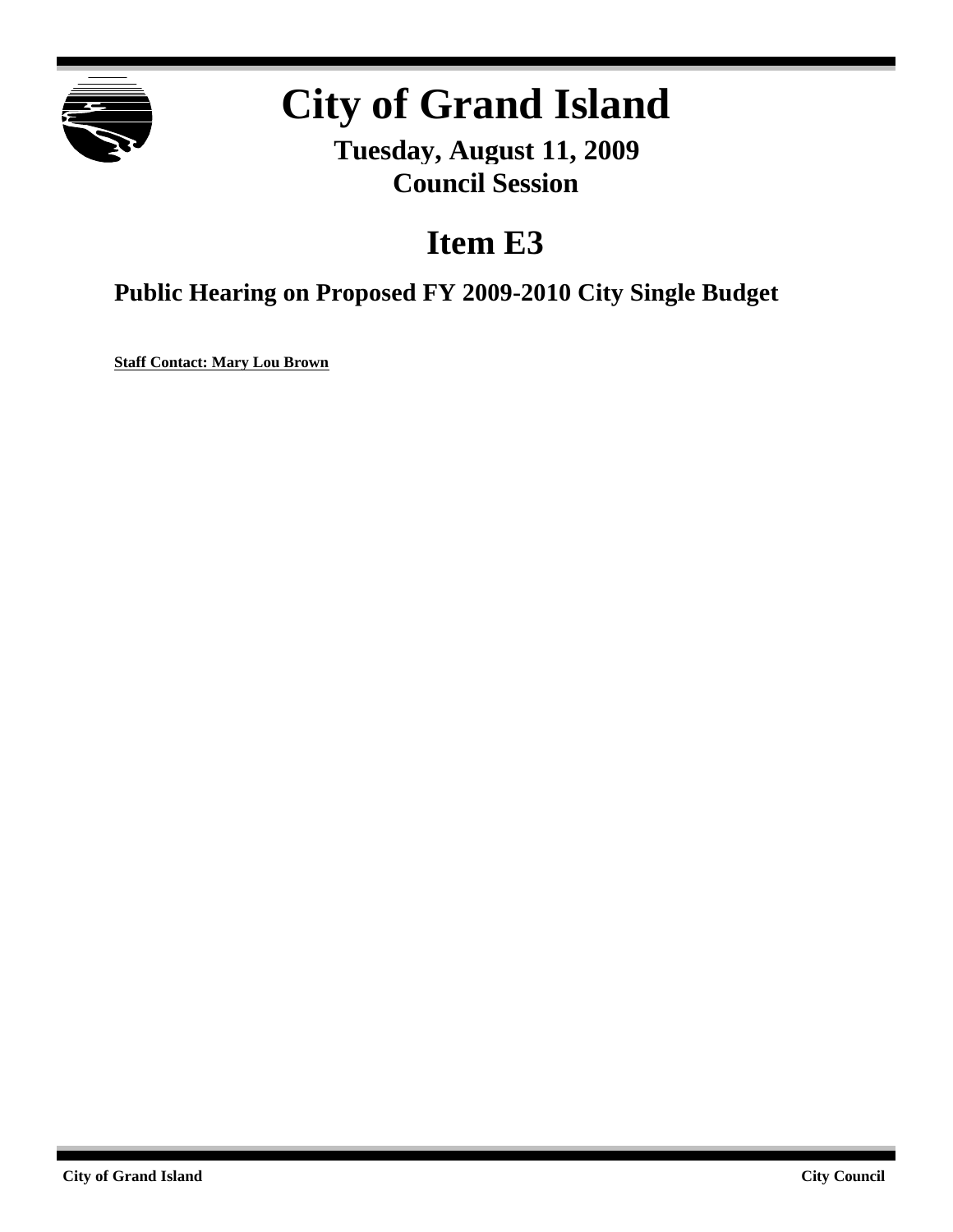

# **City of Grand Island**

**Tuesday, August 11, 2009 Council Session**

### **Item E3**

**Public Hearing on Proposed FY 2009-2010 City Single Budget**

**Staff Contact: Mary Lou Brown**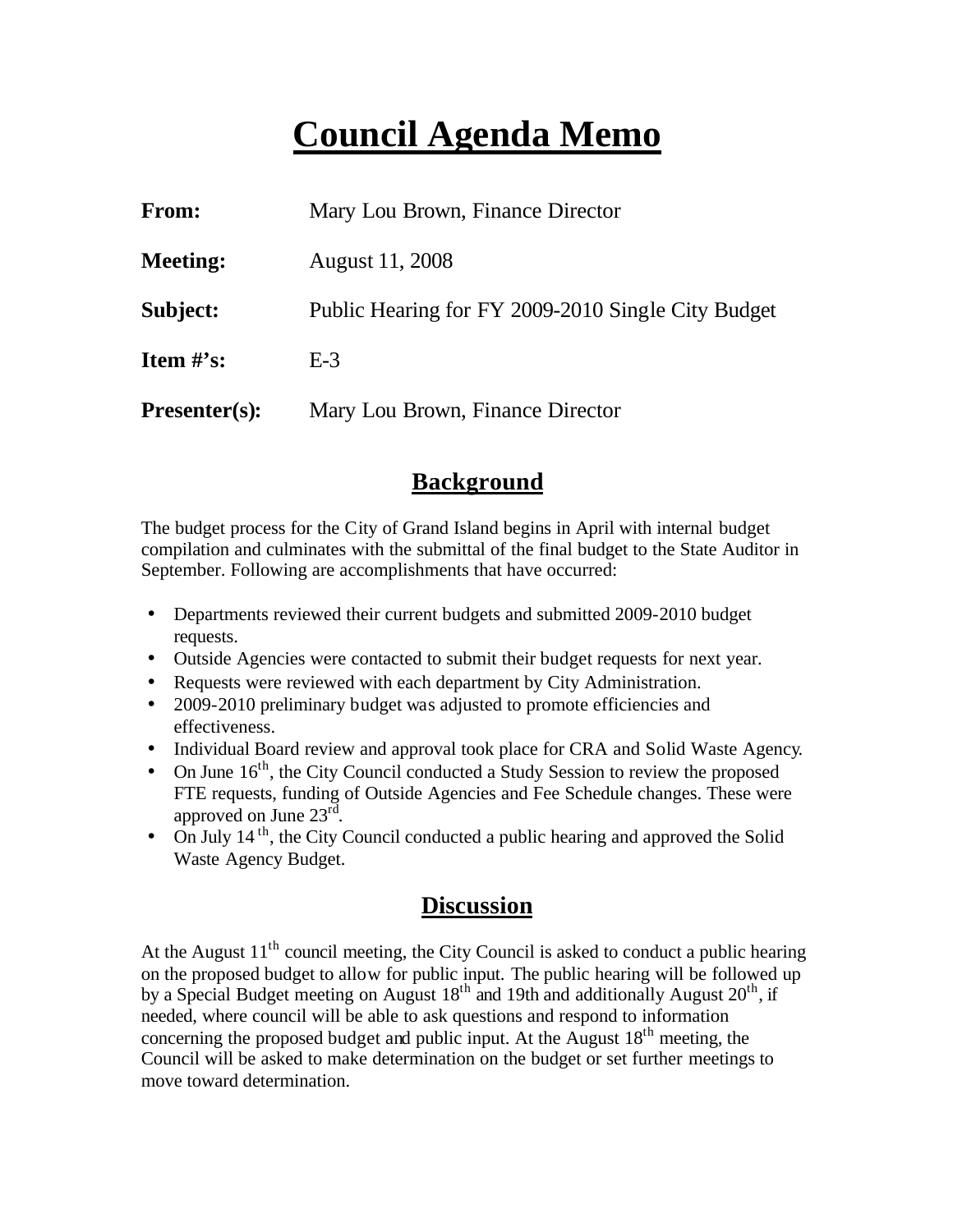## **Council Agenda Memo**

| From:                | Mary Lou Brown, Finance Director                   |
|----------------------|----------------------------------------------------|
| <b>Meeting:</b>      | August 11, 2008                                    |
| Subject:             | Public Hearing for FY 2009-2010 Single City Budget |
| Item $#$ 's:         | $E-3$                                              |
| <b>Presenter(s):</b> | Mary Lou Brown, Finance Director                   |

#### **Background**

The budget process for the City of Grand Island begins in April with internal budget compilation and culminates with the submittal of the final budget to the State Auditor in September. Following are accomplishments that have occurred:

- Departments reviewed their current budgets and submitted 2009-2010 budget requests.
- Outside Agencies were contacted to submit their budget requests for next year.
- Requests were reviewed with each department by City Administration.
- 2009-2010 preliminary budget was adjusted to promote efficiencies and effectiveness.
- Individual Board review and approval took place for CRA and Solid Waste Agency.
- On June  $16<sup>th</sup>$ , the City Council conducted a Study Session to review the proposed FTE requests, funding of Outside Agencies and Fee Schedule changes. These were approved on June  $23^{\text{rd}}$ .
- $\bullet$  On July 14<sup>th</sup>, the City Council conducted a public hearing and approved the Solid Waste Agency Budget.

### **Discussion**

At the August  $11<sup>th</sup>$  council meeting, the City Council is asked to conduct a public hearing on the proposed budget to allow for public input. The public hearing will be followed up by a Special Budget meeting on August  $18<sup>th</sup>$  and 19th and additionally August  $20<sup>th</sup>$ , if needed, where council will be able to ask questions and respond to information concerning the proposed budget and public input. At the August  $18<sup>th</sup>$  meeting, the Council will be asked to make determination on the budget or set further meetings to move toward determination.